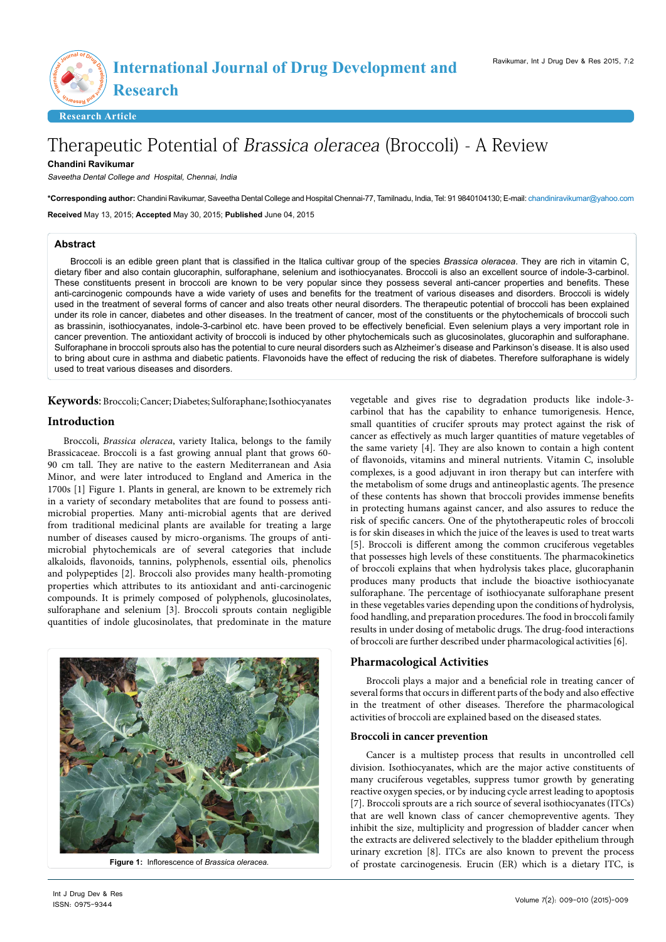**Research Article**

**<sup>r</sup> <sup>a</sup>es<sup>e</sup> <sup>h</sup><sup>c</sup>**

# Therapeutic Potential of Brassica oleracea (Broccoli) - A Review

## **Chandini Ravikumar**

Saveetha Dental College and Hospital, Chennai, India

**\*Corresponding author:** Chandini Ravikumar, Saveetha Dental College and Hospital Chennai-77, Tamilnadu, India, Tel: 91 9840104130; E-mail: chandiniravikumar@yahoo.com

**Received** May 13, 2015; **Accepted** May 30, 2015; **Published** June 04, 2015

## **Abstract**

Broccoli is an edible green plant that is classified in the Italica cultivar group of the species *Brassica oleracea*. They are rich in vitamin C, dietary fiber and also contain glucoraphin, sulforaphane, selenium and isothiocyanates. Broccoli is also an excellent source of indole-3-carbinol. These constituents present in broccoli are known to be very popular since they possess several anti-cancer properties and benefits. These anti-carcinogenic compounds have a wide variety of uses and benefits for the treatment of various diseases and disorders. Broccoli is widely used in the treatment of several forms of cancer and also treats other neural disorders. The therapeutic potential of broccoli has been explained under its role in cancer, diabetes and other diseases. In the treatment of cancer, most of the constituents or the phytochemicals of broccoli such as brassinin, isothiocyanates, indole-3-carbinol etc. have been proved to be effectively beneficial. Even selenium plays a very important role in cancer prevention. The antioxidant activity of broccoli is induced by other phytochemicals such as glucosinolates, glucoraphin and sulforaphane. Sulforaphane in broccoli sprouts also has the potential to cure neural disorders such as Alzheimer's disease and Parkinson's disease. It is also used to bring about cure in asthma and diabetic patients. Flavonoids have the effect of reducing the risk of diabetes. Therefore sulforaphane is widely used to treat various diseases and disorders.

**Keywords**: Broccoli; Cancer; Diabetes; Sulforaphane; Isothiocyanates

## **Introduction**

Broccoli, *Brassica oleracea*, variety Italica, belongs to the family Brassicaceae. Broccoli is a fast growing annual plant that grows 60- 90 cm tall. They are native to the eastern Mediterranean and Asia Minor, and were later introduced to England and America in the 1700s [1] Figure 1. Plants in general, are known to be extremely rich in a variety of secondary metabolites that are found to possess antimicrobial properties. Many anti-microbial agents that are derived from traditional medicinal plants are available for treating a large number of diseases caused by micro-organisms. The groups of antimicrobial phytochemicals are of several categories that include alkaloids, flavonoids, tannins, polyphenols, essential oils, phenolics and polypeptides [2]. Broccoli also provides many health-promoting properties which attributes to its antioxidant and anti-carcinogenic compounds. It is primely composed of polyphenols, glucosinolates, sulforaphane and selenium [3]. Broccoli sprouts contain negligible quantities of indole glucosinolates, that predominate in the mature



**Figure 1:** Inflorescence of *Brassica oleracea.*

vegetable and gives rise to degradation products like indole-3 carbinol that has the capability to enhance tumorigenesis. Hence, small quantities of crucifer sprouts may protect against the risk of cancer as effectively as much larger quantities of mature vegetables of the same variety [4]. They are also known to contain a high content of flavonoids, vitamins and mineral nutrients. Vitamin C, insoluble complexes, is a good adjuvant in iron therapy but can interfere with the metabolism of some drugs and antineoplastic agents. The presence of these contents has shown that broccoli provides immense benefits in protecting humans against cancer, and also assures to reduce the risk of specific cancers. One of the phytotherapeutic roles of broccoli is for skin diseases in which the juice of the leaves is used to treat warts [5]. Broccoli is different among the common cruciferous vegetables that possesses high levels of these constituents. The pharmacokinetics of broccoli explains that when hydrolysis takes place, glucoraphanin produces many products that include the bioactive isothiocyanate sulforaphane. The percentage of isothiocyanate sulforaphane present in these vegetables varies depending upon the conditions of hydrolysis, food handling, and preparation procedures. The food in broccoli family results in under dosing of metabolic drugs. The drug-food interactions of broccoli are further described under pharmacological activities [6].

## **Pharmacological Activities**

Broccoli plays a major and a beneficial role in treating cancer of several forms that occurs in different parts of the body and also effective in the treatment of other diseases. Therefore the pharmacological activities of broccoli are explained based on the diseased states.

## **Broccoli in cancer prevention**

Cancer is a multistep process that results in uncontrolled cell division. Isothiocyanates, which are the major active constituents of many cruciferous vegetables, suppress tumor growth by generating reactive oxygen species, or by inducing cycle arrest leading to apoptosis [7]. Broccoli sprouts are a rich source of several isothiocyanates (ITCs) that are well known class of cancer chemopreventive agents. They inhibit the size, multiplicity and progression of bladder cancer when the extracts are delivered selectively to the bladder epithelium through urinary excretion [8]. ITCs are also known to prevent the process of prostate carcinogenesis. Erucin (ER) which is a dietary ITC, is